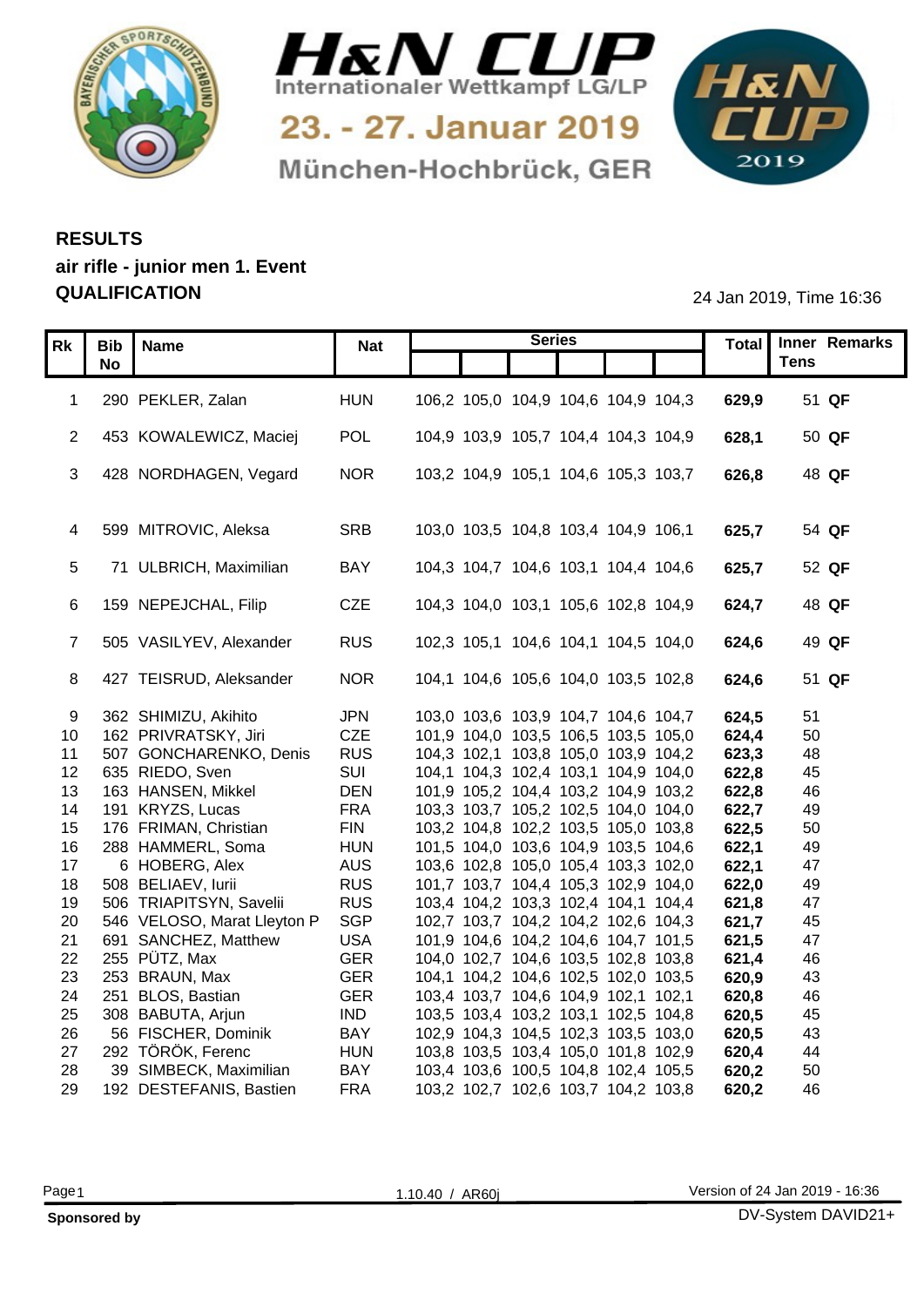



München-Hochbrück, GER

1&N 

## **RESULTS air rifle - junior men 1. Event QUALIFICATION** 24 Jan 2019, Time 16:36

|                 | Rk   Bib   Name |                                      |                   |                                                                            | <b>Series</b> |  |                | Total Inner Remarks |
|-----------------|-----------------|--------------------------------------|-------------------|----------------------------------------------------------------------------|---------------|--|----------------|---------------------|
|                 | <b>No</b>       |                                      | <b>Nat</b>        |                                                                            |               |  |                | <b>Tens</b>         |
|                 |                 |                                      |                   |                                                                            |               |  |                |                     |
|                 |                 | 290 PEKLER, Zalan                    | <b>HUN</b>        | 106,2 105,0 104,9 104,6 104,9 104,3                                        |               |  | 629,9          | 51 QF               |
|                 |                 |                                      |                   |                                                                            |               |  |                |                     |
|                 |                 | 2 453 KOWALEWICZ, Maciej             | POL               | 104,9 103,9 105,7 104,4 104,3 104,9                                        |               |  | 628,1          | 50 QF               |
|                 |                 |                                      |                   |                                                                            |               |  |                |                     |
|                 |                 | 3 428 NORDHAGEN, Vegard              | <b>NOR</b>        | 103,2 104,9 105,1 104,6 105,3 103,7                                        |               |  | 626,8          | 48 QF               |
|                 |                 |                                      |                   |                                                                            |               |  |                |                     |
|                 |                 |                                      |                   |                                                                            |               |  |                | 54 QF               |
|                 |                 | 4 599 MITROVIC, Aleksa               | SRB               | 103,0 103,5 104,8 103,4 104,9 106,1                                        |               |  | 625,7          |                     |
|                 |                 | 5 71 ULBRICH, Maximilian             | BAY               | 104,3 104,7 104,6 103,1 104,4 104,6                                        |               |  | 625,7          | 52 QF               |
|                 |                 |                                      |                   |                                                                            |               |  |                |                     |
|                 |                 | 6 159 NEPEJCHAL, Filip               | CZE               | 104,3 104,0 103,1 105,6 102,8 104,9                                        |               |  | 624,7          | 48 QF               |
|                 |                 |                                      |                   |                                                                            |               |  |                |                     |
|                 |                 | 505 VASILYEV, Alexander              | <b>RUS</b>        | 102,3 105,1 104,6 104,1 104,5 104,0                                        |               |  | 624,6          | 49 QF               |
|                 |                 |                                      |                   |                                                                            |               |  |                |                     |
| 8               |                 | 427 TEISRUD, Aleksander              | <b>NOR</b>        | 104,1 104,6 105,6 104,0 103,5 102,8                                        |               |  | 624,6          | 51 QF               |
|                 |                 |                                      |                   |                                                                            |               |  |                |                     |
| -9              |                 | 362 SHIMIZU, Akihito                 | <b>JPN</b>        | 103,0 103,6 103,9 104,7 104,6 104,7                                        |               |  | 624,5          | 51                  |
| 10 <sup>1</sup> |                 | 162 PRIVRATSKY, Jiri                 | CZE               | 101,9 104,0 103,5 106,5 103,5 105,0                                        |               |  | 624,4          | 50                  |
| 11              |                 | 507 GONCHARENKO, Denis               | <b>RUS</b>        | 104,3 102,1 103,8 105,0 103,9 104,2                                        |               |  | 623,3          | 48                  |
|                 |                 | 12 635 RIEDO, Sven                   | SUI               | 104,1 104,3 102,4 103,1 104,9 104,0                                        |               |  | 622,8          | 45                  |
| 13              |                 | 163 HANSEN, Mikkel                   | <b>DEN</b>        | 101,9 105,2 104,4 103,2 104,9 103,2                                        |               |  | 622,8          | 46                  |
| 14              |                 | 191 KRYZS, Lucas                     | <b>FRA</b>        | 103,3 103,7 105,2 102,5 104,0 104,0                                        |               |  | 622,7          | 49                  |
| 15              |                 | 176 FRIMAN, Christian                | <b>FIN</b>        | 103,2 104,8 102,2 103,5 105,0 103,8                                        |               |  | 622,5          | 50                  |
| 16              |                 | 288 HAMMERL, Soma                    | <b>HUN</b>        | 101,5 104,0 103,6 104,9 103,5 104,6                                        |               |  | 622,1          | 49<br>47            |
| 17<br>18        |                 | 6 HOBERG, Alex<br>508 BELIAEV, Iurii | AUS<br><b>RUS</b> | 103,6 102,8 105,0 105,4 103,3 102,0<br>101,7 103,7 104,4 105,3 102,9 104,0 |               |  | 622,1<br>622,0 | 49                  |
| 19              |                 | 506 TRIAPITSYN, Savelii              | <b>RUS</b>        | 103,4 104,2 103,3 102,4 104,1 104,4                                        |               |  | 621,8          | 47                  |
| 20              |                 | 546 VELOSO, Marat Lleyton P          | SGP               | 102,7 103,7 104,2 104,2 102,6 104,3                                        |               |  | 621,7          | 45                  |
| 21              |                 | 691 SANCHEZ, Matthew                 | <b>USA</b>        | 101,9 104,6 104,2 104,6 104,7 101,5                                        |               |  | 621,5          | 47                  |
| 22              |                 | 255  PÜTZ, Max                       | <b>GER</b>        | 104,0 102,7 104,6 103,5 102,8 103,8                                        |               |  | 621,4          | 46                  |
| 23              |                 | 253 BRAUN, Max                       | <b>GER</b>        | 104,1 104,2 104,6 102,5 102,0 103,5                                        |               |  | 620,9          | 43                  |
| 24              |                 | 251 BLOS, Bastian                    | <b>GER</b>        | 103,4 103,7 104,6 104,9 102,1 102,1                                        |               |  | 620,8          | 46                  |
| 25              |                 | 308 BABUTA, Arjun                    | <b>IND</b>        | 103,5 103,4 103,2 103,1 102,5 104,8                                        |               |  | 620,5          | 45                  |
| 26              |                 | 56 FISCHER, Dominik                  | <b>BAY</b>        | 102,9 104,3 104,5 102,3 103,5 103,0                                        |               |  | 620,5          | -43                 |
| 27              |                 | 292 TÖRÖK, Ferenc                    | <b>HUN</b>        | 103,8 103,5 103,4 105,0 101,8 102,9                                        |               |  | 620,4          | 44                  |
| 28              |                 | 39 SIMBECK, Maximilian               | <b>BAY</b>        | 103,4 103,6 100,5 104,8 102,4 105,5                                        |               |  | 620,2          | 50                  |
| 29              |                 | 192 DESTEFANIS, Bastien              | <b>FRA</b>        | 103,2 102,7 102,6 103,7 104,2 103,8                                        |               |  | 620,2          | 46                  |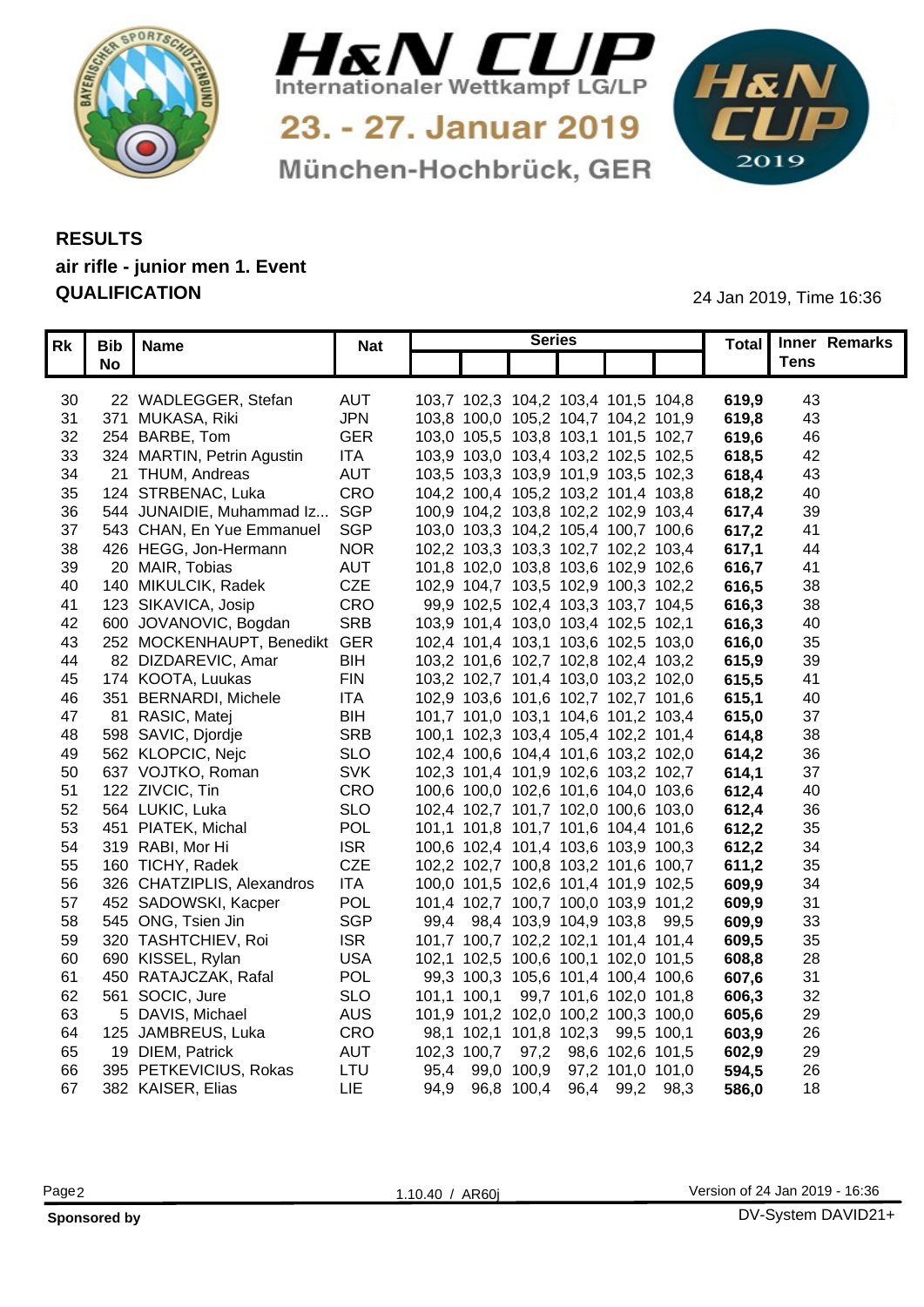



München-Hochbrück, GER

1&N 

## **RESULTS air rifle - junior men 1. Event QUALIFICATION** 24 Jan 2019, Time 16:36

|          | Rk   Bib   Name               | <b>Nat</b> | <b>Series</b>                       |  |       | Total Inner Remarks |  |
|----------|-------------------------------|------------|-------------------------------------|--|-------|---------------------|--|
|          | <b>No</b>                     |            |                                     |  |       | Tens                |  |
|          |                               |            |                                     |  |       |                     |  |
| 30       | 22 WADLEGGER, Stefan          | <b>AUT</b> | 103,7 102,3 104,2 103,4 101,5 104,8 |  | 619,9 | 43                  |  |
| 31       | 371 MUKASA, Riki              | <b>JPN</b> | 103,8 100,0 105,2 104,7 104,2 101,9 |  | 619,8 | 43                  |  |
| 32       | 254 BARBE, Tom                | <b>GER</b> | 103,0 105,5 103,8 103,1 101,5 102,7 |  | 619,6 | 46                  |  |
| 33       | 324 MARTIN, Petrin Agustin    | <b>ITA</b> | 103,9 103,0 103,4 103,2 102,5 102,5 |  | 618,5 | 42                  |  |
| 34       | 21 THUM, Andreas              | <b>AUT</b> | 103,5 103,3 103,9 101,9 103,5 102,3 |  | 618.4 | 43                  |  |
| 35       | 124 STRBENAC, Luka            | CRO        | 104,2 100,4 105,2 103,2 101,4 103,8 |  | 618,2 | 40                  |  |
| 36       | 544 JUNAIDIE, Muhammad Iz.    | SGP        | 100,9 104,2 103,8 102,2 102,9 103,4 |  | 617,4 | 39                  |  |
| 37       | 543 CHAN, En Yue Emmanuel     | SGP        | 103,0 103,3 104,2 105,4 100,7 100,6 |  | 617,2 | -41                 |  |
| 38       | 426 HEGG, Jon-Hermann         | <b>NOR</b> | 102,2 103,3 103,3 102,7 102,2 103,4 |  | 617.7 | 44                  |  |
| 39       | 20 MAIR, Tobias               | <b>AUT</b> | 101,8 102,0 103,8 103,6 102,9 102,6 |  | 616,7 | -41                 |  |
| 40       | 140 MIKULCIK, Radek           | CZE        | 102,9 104,7 103,5 102,9 100,3 102,2 |  | 616,5 | 38                  |  |
| 41       | 123 SIKAVICA, Josip           | <b>CRO</b> | 99,9 102,5 102,4 103,3 103,7 104,5  |  | 616,3 | 38                  |  |
| 42       | 600 JOVANOVIC, Bogdan         | <b>SRB</b> | 103,9 101,4 103,0 103,4 102,5 102,1 |  | 616,3 | 40                  |  |
| 43       | 252 MOCKENHAUPT, Benedikt GER |            | 102,4 101,4 103,1 103,6 102,5 103,0 |  | 616,0 | 35                  |  |
| 44       | 82 DIZDAREVIC, Amar           | <b>BIH</b> | 103,2 101,6 102,7 102,8 102,4 103,2 |  |       | 39                  |  |
|          | 174 KOOTA, Luukas             | <b>FIN</b> | 103,2 102,7 101,4 103,0 103,2 102,0 |  | 615,9 | 4 <sup>′</sup>      |  |
| 45<br>46 | 351 BERNARDI, Michele         | <b>ITA</b> |                                     |  | 615,5 |                     |  |
|          |                               |            | 102,9 103,6 101,6 102,7 102,7 101,6 |  | 615,1 | 40                  |  |
| 47       | 81 RASIC, Matej               | <b>BIH</b> | 101,7 101,0 103,1 104,6 101,2 103,4 |  | 615,0 | 37                  |  |
| 48       | 598 SAVIC, Djordje            | <b>SRB</b> | 100,1 102,3 103,4 105,4 102,2 101,4 |  | 614.8 | 38                  |  |
| 49       | 562 KLOPCIC, Nejc             | <b>SLO</b> | 102,4 100,6 104,4 101,6 103,2 102,0 |  | 614.2 | 36                  |  |
| 50       | 637 VOJTKO, Roman             | <b>SVK</b> | 102,3 101,4 101,9 102,6 103,2 102,7 |  | 614.1 | -37                 |  |
| 51       | 122 ZIVCIC, Tin               | CRO        | 100,6 100,0 102,6 101,6 104,0 103,6 |  | 612,4 | 40                  |  |
|          | 52 564 LUKIC, Luka            | <b>SLO</b> | 102,4 102,7 101,7 102,0 100,6 103,0 |  | 612,4 | 36                  |  |
| 53       | 451 PIATEK, Michal            | <b>POL</b> | 101,1 101,8 101,7 101,6 104,4 101,6 |  | 612,2 | 35                  |  |
|          | 54 319 RABI, Mor Hi           | <b>ISR</b> | 100,6 102,4 101,4 103,6 103,9 100,3 |  | 612,2 | 34                  |  |
| 55       | 160 TICHY, Radek              | CZE        | 102,2 102,7 100,8 103,2 101,6 100,7 |  | 611.2 | 35                  |  |
| 56       | 326 CHATZIPLIS, Alexandros    | <b>ITA</b> | 100,0 101,5 102,6 101,4 101,9 102,5 |  | 609,9 | 34                  |  |
| 57       | 452 SADOWSKI, Kacper          | <b>POL</b> | 101,4 102,7 100,7 100,0 103,9 101,2 |  | 609,9 | 31                  |  |
| 58       | 545 ONG, Tsien Jin            | <b>SGP</b> | 99,4 98,4 103,9 104,9 103,8 99,5    |  | 609,9 | 33                  |  |
| 59       | 320 TASHTCHIEV, Roi           | <b>ISR</b> | 101,7 100,7 102,2 102,1 101,4 101,4 |  | 609,5 | 35                  |  |
| 60       | 690 KISSEL, Rylan             | <b>USA</b> | 102,1 102,5 100,6 100,1 102,0 101,5 |  | 608,8 | 28                  |  |
| 61       | 450 RATAJCZAK, Rafal          | POL        | 99,3 100,3 105,6 101,4 100,4 100,6  |  | 607,6 | 31                  |  |
| 62       | 561 SOCIC, Jure               | <b>SLO</b> | 101,1 100,1 99,7 101,6 102,0 101,8  |  | 606,3 | 32                  |  |
| 63       | 5 DAVIS, Michael              | <b>AUS</b> | 101,9 101,2 102,0 100,2 100,3 100,0 |  | 605,6 | 29                  |  |
| 64       | 125 JAMBREUS, Luka            | <b>CRO</b> | 98,1 102,1 101,8 102,3 99,5 100,1   |  | 603,9 | 26                  |  |
| 65       | 19 DIEM, Patrick              | <b>AUT</b> | 102,3 100,7 97,2 98,6 102,6 101,5   |  | 602,9 | 29                  |  |
| 66       | 395 PETKEVICIUS, Rokas        | LTU        | 95,4 99,0 100,9 97,2 101,0 101,0    |  | 594,5 | 26                  |  |
|          | 67 382 KAISER, Elias          | <b>LIE</b> | 94,9 96,8 100,4 96,4 99,2 98,3      |  | 586,0 | 18                  |  |